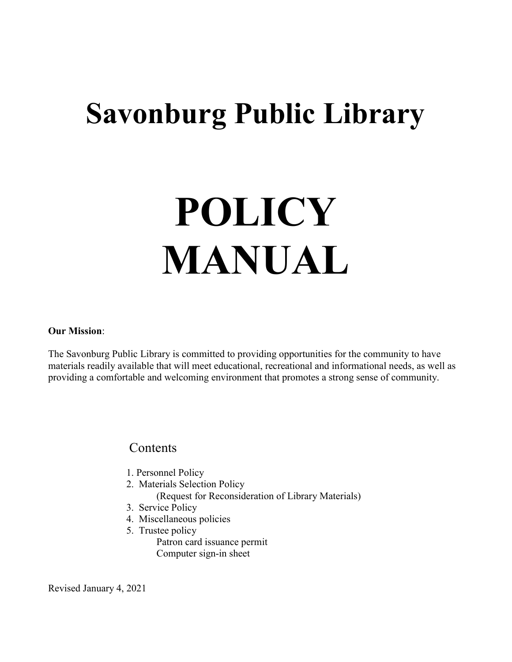## Savonburg Public Library

# POLICY MANUAL

## Our Mission:

The Savonburg Public Library is committed to providing opportunities for the community to have materials readily available that will meet educational, recreational and informational needs, as well as providing a comfortable and welcoming environment that promotes a strong sense of community.

## **Contents**

- 1. Personnel Policy
- 2. Materials Selection Policy
	- (Request for Reconsideration of Library Materials)
- 3. Service Policy
- 4. Miscellaneous policies
- 5. Trustee policy Patron card issuance permit Computer sign-in sheet

Revised January 4, 2021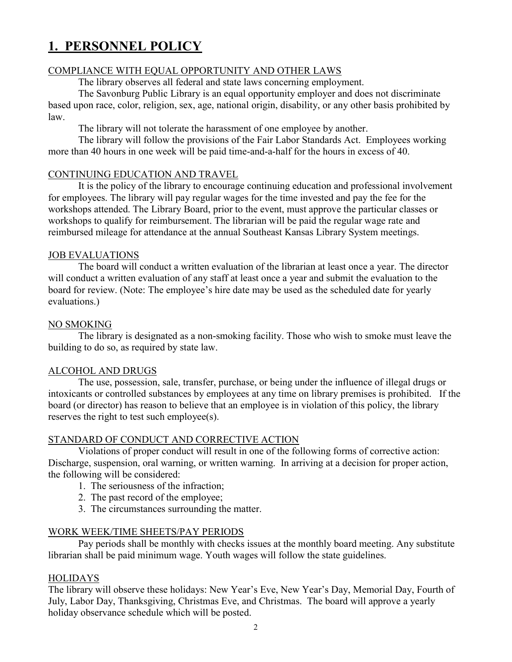## 1. PERSONNEL POLICY

## COMPLIANCE WITH EQUAL OPPORTUNITY AND OTHER LAWS

The library observes all federal and state laws concerning employment.

The Savonburg Public Library is an equal opportunity employer and does not discriminate based upon race, color, religion, sex, age, national origin, disability, or any other basis prohibited by law.

The library will not tolerate the harassment of one employee by another.

The library will follow the provisions of the Fair Labor Standards Act. Employees working more than 40 hours in one week will be paid time-and-a-half for the hours in excess of 40.

## CONTINUING EDUCATION AND TRAVEL

It is the policy of the library to encourage continuing education and professional involvement for employees. The library will pay regular wages for the time invested and pay the fee for the workshops attended. The Library Board, prior to the event, must approve the particular classes or workshops to qualify for reimbursement. The librarian will be paid the regular wage rate and reimbursed mileage for attendance at the annual Southeast Kansas Library System meetings.

## JOB EVALUATIONS

The board will conduct a written evaluation of the librarian at least once a year. The director will conduct a written evaluation of any staff at least once a year and submit the evaluation to the board for review. (Note: The employee's hire date may be used as the scheduled date for yearly evaluations.)

## NO SMOKING

The library is designated as a non-smoking facility. Those who wish to smoke must leave the building to do so, as required by state law.

## ALCOHOL AND DRUGS

The use, possession, sale, transfer, purchase, or being under the influence of illegal drugs or intoxicants or controlled substances by employees at any time on library premises is prohibited. If the board (or director) has reason to believe that an employee is in violation of this policy, the library reserves the right to test such employee(s).

## STANDARD OF CONDUCT AND CORRECTIVE ACTION

Violations of proper conduct will result in one of the following forms of corrective action: Discharge, suspension, oral warning, or written warning. In arriving at a decision for proper action, the following will be considered:

- 1. The seriousness of the infraction;
- 2. The past record of the employee;
- 3. The circumstances surrounding the matter.

## WORK WEEK/TIME SHEETS/PAY PERIODS

Pay periods shall be monthly with checks issues at the monthly board meeting. Any substitute librarian shall be paid minimum wage. Youth wages will follow the state guidelines.

## HOLIDAYS

The library will observe these holidays: New Year's Eve, New Year's Day, Memorial Day, Fourth of July, Labor Day, Thanksgiving, Christmas Eve, and Christmas. The board will approve a yearly holiday observance schedule which will be posted.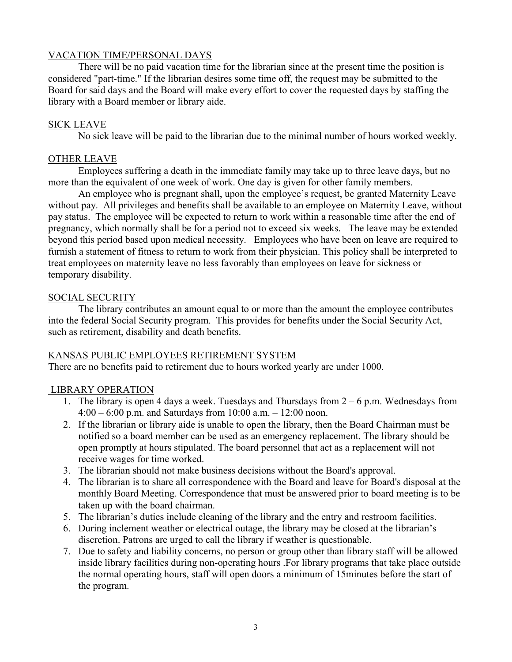## VACATION TIME/PERSONAL DAYS

There will be no paid vacation time for the librarian since at the present time the position is considered "part-time." If the librarian desires some time off, the request may be submitted to the Board for said days and the Board will make every effort to cover the requested days by staffing the library with a Board member or library aide.

## SICK LEAVE

No sick leave will be paid to the librarian due to the minimal number of hours worked weekly.

## OTHER LEAVE

Employees suffering a death in the immediate family may take up to three leave days, but no more than the equivalent of one week of work. One day is given for other family members.

An employee who is pregnant shall, upon the employee's request, be granted Maternity Leave without pay. All privileges and benefits shall be available to an employee on Maternity Leave, without pay status. The employee will be expected to return to work within a reasonable time after the end of pregnancy, which normally shall be for a period not to exceed six weeks. The leave may be extended beyond this period based upon medical necessity. Employees who have been on leave are required to furnish a statement of fitness to return to work from their physician. This policy shall be interpreted to treat employees on maternity leave no less favorably than employees on leave for sickness or temporary disability.

## SOCIAL SECURITY

The library contributes an amount equal to or more than the amount the employee contributes into the federal Social Security program. This provides for benefits under the Social Security Act, such as retirement, disability and death benefits.

## KANSAS PUBLIC EMPLOYEES RETIREMENT SYSTEM

There are no benefits paid to retirement due to hours worked yearly are under 1000.

## LIBRARY OPERATION

- 1. The library is open 4 days a week. Tuesdays and Thursdays from  $2 6$  p.m. Wednesdays from 4:00 – 6:00 p.m. and Saturdays from 10:00 a.m. – 12:00 noon.
- 2. If the librarian or library aide is unable to open the library, then the Board Chairman must be notified so a board member can be used as an emergency replacement. The library should be open promptly at hours stipulated. The board personnel that act as a replacement will not receive wages for time worked.
- 3. The librarian should not make business decisions without the Board's approval.
- 4. The librarian is to share all correspondence with the Board and leave for Board's disposal at the monthly Board Meeting. Correspondence that must be answered prior to board meeting is to be taken up with the board chairman.
- 5. The librarian's duties include cleaning of the library and the entry and restroom facilities.
- 6. During inclement weather or electrical outage, the library may be closed at the librarian's discretion. Patrons are urged to call the library if weather is questionable.
- 7. Due to safety and liability concerns, no person or group other than library staff will be allowed inside library facilities during non-operating hours .For library programs that take place outside the normal operating hours, staff will open doors a minimum of 15minutes before the start of the program.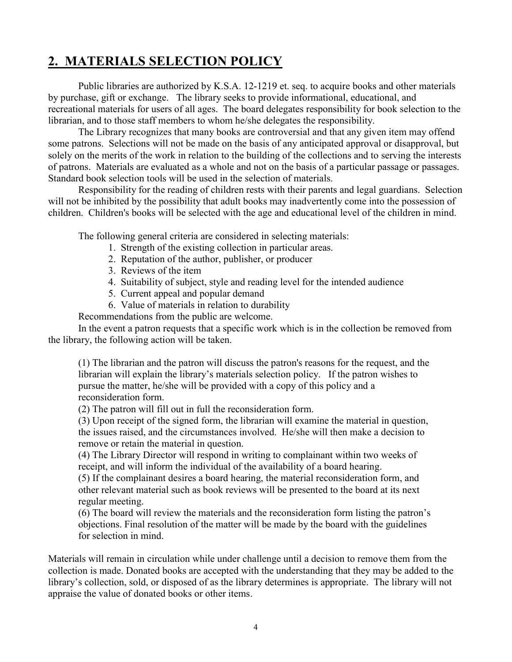## 2. MATERIALS SELECTION POLICY

Public libraries are authorized by K.S.A. 12-1219 et. seq. to acquire books and other materials by purchase, gift or exchange. The library seeks to provide informational, educational, and recreational materials for users of all ages. The board delegates responsibility for book selection to the librarian, and to those staff members to whom he/she delegates the responsibility.

The Library recognizes that many books are controversial and that any given item may offend some patrons. Selections will not be made on the basis of any anticipated approval or disapproval, but solely on the merits of the work in relation to the building of the collections and to serving the interests of patrons. Materials are evaluated as a whole and not on the basis of a particular passage or passages. Standard book selection tools will be used in the selection of materials.

Responsibility for the reading of children rests with their parents and legal guardians. Selection will not be inhibited by the possibility that adult books may inadvertently come into the possession of children. Children's books will be selected with the age and educational level of the children in mind.

The following general criteria are considered in selecting materials:

- 1. Strength of the existing collection in particular areas.
- 2. Reputation of the author, publisher, or producer
- 3. Reviews of the item
- 4. Suitability of subject, style and reading level for the intended audience
- 5. Current appeal and popular demand
- 6. Value of materials in relation to durability

Recommendations from the public are welcome.

In the event a patron requests that a specific work which is in the collection be removed from the library, the following action will be taken.

(1) The librarian and the patron will discuss the patron's reasons for the request, and the librarian will explain the library's materials selection policy. If the patron wishes to pursue the matter, he/she will be provided with a copy of this policy and a reconsideration form.

(2) The patron will fill out in full the reconsideration form.

(3) Upon receipt of the signed form, the librarian will examine the material in question, the issues raised, and the circumstances involved. He/she will then make a decision to remove or retain the material in question.

(4) The Library Director will respond in writing to complainant within two weeks of receipt, and will inform the individual of the availability of a board hearing.

(5) If the complainant desires a board hearing, the material reconsideration form, and other relevant material such as book reviews will be presented to the board at its next regular meeting.

(6) The board will review the materials and the reconsideration form listing the patron's objections. Final resolution of the matter will be made by the board with the guidelines for selection in mind.

Materials will remain in circulation while under challenge until a decision to remove them from the collection is made. Donated books are accepted with the understanding that they may be added to the library's collection, sold, or disposed of as the library determines is appropriate. The library will not appraise the value of donated books or other items.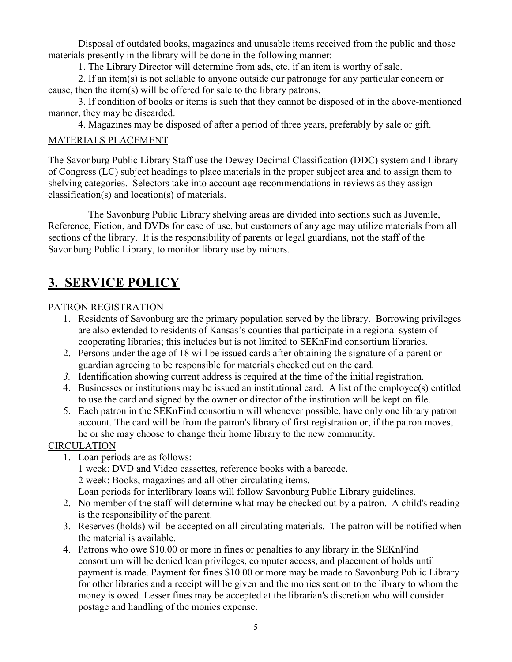Disposal of outdated books, magazines and unusable items received from the public and those materials presently in the library will be done in the following manner:

1. The Library Director will determine from ads, etc. if an item is worthy of sale.

2. If an item(s) is not sellable to anyone outside our patronage for any particular concern or cause, then the item(s) will be offered for sale to the library patrons.

3. If condition of books or items is such that they cannot be disposed of in the above-mentioned manner, they may be discarded.

4. Magazines may be disposed of after a period of three years, preferably by sale or gift.

## MATERIALS PLACEMENT

The Savonburg Public Library Staff use the Dewey Decimal Classification (DDC) system and Library of Congress (LC) subject headings to place materials in the proper subject area and to assign them to shelving categories. Selectors take into account age recommendations in reviews as they assign classification(s) and location(s) of materials.

 The Savonburg Public Library shelving areas are divided into sections such as Juvenile, Reference, Fiction, and DVDs for ease of use, but customers of any age may utilize materials from all sections of the library. It is the responsibility of parents or legal guardians, not the staff of the Savonburg Public Library, to monitor library use by minors.

## 3. SERVICE POLICY

## PATRON REGISTRATION

- 1. Residents of Savonburg are the primary population served by the library. Borrowing privileges are also extended to residents of Kansas's counties that participate in a regional system of cooperating libraries; this includes but is not limited to SEKnFind consortium libraries.
- 2. Persons under the age of 18 will be issued cards after obtaining the signature of a parent or guardian agreeing to be responsible for materials checked out on the card.
- 3. Identification showing current address is required at the time of the initial registration.
- 4. Businesses or institutions may be issued an institutional card. A list of the employee(s) entitled to use the card and signed by the owner or director of the institution will be kept on file.
- 5. Each patron in the SEKnFind consortium will whenever possible, have only one library patron account. The card will be from the patron's library of first registration or, if the patron moves, he or she may choose to change their home library to the new community.

## **CIRCULATION**

- 1. Loan periods are as follows: 1 week: DVD and Video cassettes, reference books with a barcode. 2 week: Books, magazines and all other circulating items. Loan periods for interlibrary loans will follow Savonburg Public Library guidelines.
- 2. No member of the staff will determine what may be checked out by a patron. A child's reading is the responsibility of the parent.
- 3. Reserves (holds) will be accepted on all circulating materials. The patron will be notified when the material is available.
- 4. Patrons who owe \$10.00 or more in fines or penalties to any library in the SEKnFind consortium will be denied loan privileges, computer access, and placement of holds until payment is made. Payment for fines \$10.00 or more may be made to Savonburg Public Library for other libraries and a receipt will be given and the monies sent on to the library to whom the money is owed. Lesser fines may be accepted at the librarian's discretion who will consider postage and handling of the monies expense.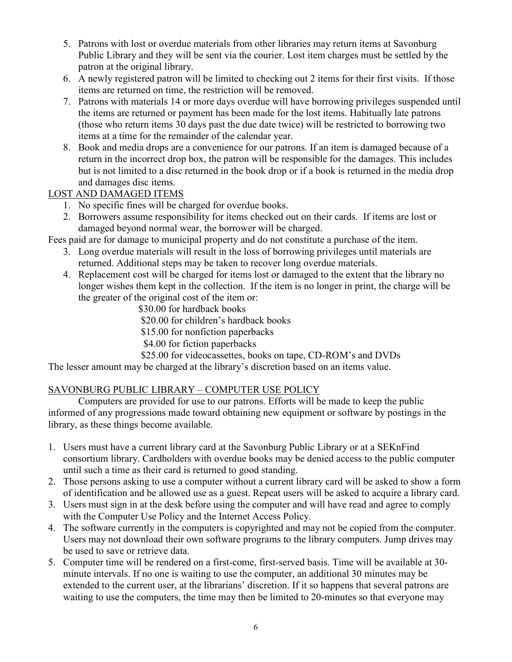- 5. Patrons with lost or overdue materials from other libraries may return items at Savonburg Public Library and they will be sent via the courier. Lost item charges must be settled by the patron at the original library.
- 6. A newly registered patron will be limited to checking out 2 items for their first visits. If those items are returned on time, the restriction will be removed.
- 7. Patrons with materials 14 or more days overdue will have borrowing privileges suspended until the items are returned or payment has been made for the lost items. Habitually late patrons (those who return items 30 days past the due date twice) will be restricted to borrowing two items at a time for the remainder of the calendar year.
- 8. Book and media drops are a convenience for our patrons. If an item is damaged because of a return in the incorrect drop box, the patron will be responsible for the damages. This includes but is not limited to a disc returned in the book drop or if a book is returned in the media drop and damages disc items.

## LOST AND DAMAGED ITEMS

- 1. No specific fines will be charged for overdue books.
- 2. Borrowers assume responsibility for items checked out on their cards. If items are lost or damaged beyond normal wear, the borrower will be charged.

Fees paid are for damage to municipal property and do not constitute a purchase of the item.

- 3. Long overdue materials will result in the loss of borrowing privileges until materials are returned. Additional steps may be taken to recover long overdue materials.
- 4. Replacement cost will be charged for items lost or damaged to the extent that the library no longer wishes them kept in the collection. If the item is no longer in print, the charge will be the greater of the original cost of the item or:

\$30.00 for hardback books

\$20.00 for children's hardback books

\$15.00 for nonfiction paperbacks

\$4.00 for fiction paperbacks

\$25.00 for videocassettes, books on tape, CD-ROM's and DVDs

The lesser amount may be charged at the library's discretion based on an items value.

## SAVONBURG PUBLIC LIBRARY – COMPUTER USE POLICY

 Computers are provided for use to our patrons. Efforts will be made to keep the public informed of any progressions made toward obtaining new equipment or software by postings in the library, as these things become available.

- 1. Users must have a current library card at the Savonburg Public Library or at a SEKnFind consortium library. Cardholders with overdue books may be denied access to the public computer until such a time as their card is returned to good standing.
- 2. Those persons asking to use a computer without a current library card will be asked to show a form of identification and be allowed use as a guest. Repeat users will be asked to acquire a library card.
- 3. Users must sign in at the desk before using the computer and will have read and agree to comply with the Computer Use Policy and the Internet Access Policy.
- 4. The software currently in the computers is copyrighted and may not be copied from the computer. Users may not download their own software programs to the library computers. Jump drives may be used to save or retrieve data.
- 5. Computer time will be rendered on a first-come, first-served basis. Time will be available at 30 minute intervals. If no one is waiting to use the computer, an additional 30 minutes may be extended to the current user, at the librarians' discretion. If it so happens that several patrons are waiting to use the computers, the time may then be limited to 20-minutes so that everyone may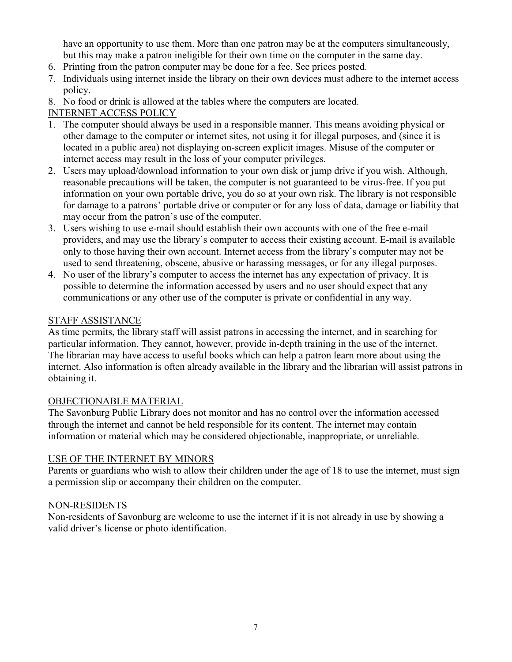have an opportunity to use them. More than one patron may be at the computers simultaneously, but this may make a patron ineligible for their own time on the computer in the same day.

- 6. Printing from the patron computer may be done for a fee. See prices posted.
- 7. Individuals using internet inside the library on their own devices must adhere to the internet access policy.
- 8. No food or drink is allowed at the tables where the computers are located.

## INTERNET ACCESS POLICY

- 1. The computer should always be used in a responsible manner. This means avoiding physical or other damage to the computer or internet sites, not using it for illegal purposes, and (since it is located in a public area) not displaying on-screen explicit images. Misuse of the computer or internet access may result in the loss of your computer privileges.
- 2. Users may upload/download information to your own disk or jump drive if you wish. Although, reasonable precautions will be taken, the computer is not guaranteed to be virus-free. If you put information on your own portable drive, you do so at your own risk. The library is not responsible for damage to a patrons' portable drive or computer or for any loss of data, damage or liability that may occur from the patron's use of the computer.
- 3. Users wishing to use e-mail should establish their own accounts with one of the free e-mail providers, and may use the library's computer to access their existing account. E-mail is available only to those having their own account. Internet access from the library's computer may not be used to send threatening, obscene, abusive or harassing messages, or for any illegal purposes.
- 4. No user of the library's computer to access the internet has any expectation of privacy. It is possible to determine the information accessed by users and no user should expect that any communications or any other use of the computer is private or confidential in any way.

## STAFF ASSISTANCE

As time permits, the library staff will assist patrons in accessing the internet, and in searching for particular information. They cannot, however, provide in-depth training in the use of the internet. The librarian may have access to useful books which can help a patron learn more about using the internet. Also information is often already available in the library and the librarian will assist patrons in obtaining it.

## OBJECTIONABLE MATERIAL

The Savonburg Public Library does not monitor and has no control over the information accessed through the internet and cannot be held responsible for its content. The internet may contain information or material which may be considered objectionable, inappropriate, or unreliable.

## USE OF THE INTERNET BY MINORS

Parents or guardians who wish to allow their children under the age of 18 to use the internet, must sign a permission slip or accompany their children on the computer.

## NON-RESIDENTS

Non-residents of Savonburg are welcome to use the internet if it is not already in use by showing a valid driver's license or photo identification.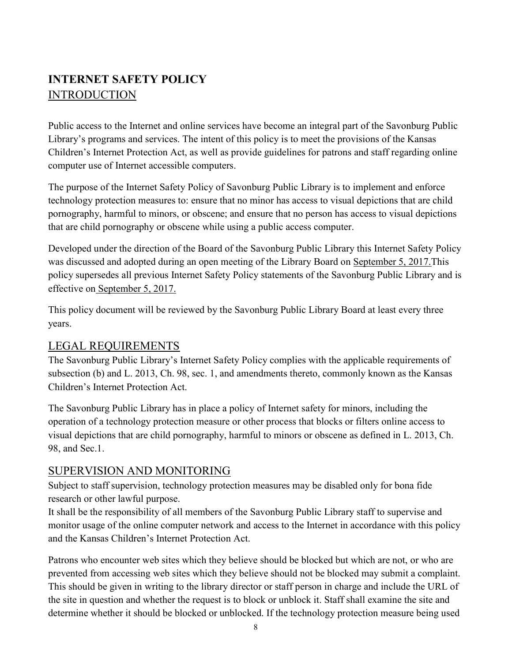## INTERNET SAFETY POLICY **INTRODUCTION**

Public access to the Internet and online services have become an integral part of the Savonburg Public Library's programs and services. The intent of this policy is to meet the provisions of the Kansas Children's Internet Protection Act, as well as provide guidelines for patrons and staff regarding online computer use of Internet accessible computers.

The purpose of the Internet Safety Policy of Savonburg Public Library is to implement and enforce technology protection measures to: ensure that no minor has access to visual depictions that are child pornography, harmful to minors, or obscene; and ensure that no person has access to visual depictions that are child pornography or obscene while using a public access computer.

Developed under the direction of the Board of the Savonburg Public Library this Internet Safety Policy was discussed and adopted during an open meeting of the Library Board on September 5, 2017.This policy supersedes all previous Internet Safety Policy statements of the Savonburg Public Library and is effective on September 5, 2017.

This policy document will be reviewed by the Savonburg Public Library Board at least every three years.

## LEGAL REQUIREMENTS

The Savonburg Public Library's Internet Safety Policy complies with the applicable requirements of subsection (b) and L. 2013, Ch. 98, sec. 1, and amendments thereto, commonly known as the Kansas Children's Internet Protection Act.

The Savonburg Public Library has in place a policy of Internet safety for minors, including the operation of a technology protection measure or other process that blocks or filters online access to visual depictions that are child pornography, harmful to minors or obscene as defined in L. 2013, Ch. 98, and Sec.1.

## SUPERVISION AND MONITORING

Subject to staff supervision, technology protection measures may be disabled only for bona fide research or other lawful purpose.

It shall be the responsibility of all members of the Savonburg Public Library staff to supervise and monitor usage of the online computer network and access to the Internet in accordance with this policy and the Kansas Children's Internet Protection Act.

Patrons who encounter web sites which they believe should be blocked but which are not, or who are prevented from accessing web sites which they believe should not be blocked may submit a complaint. This should be given in writing to the library director or staff person in charge and include the URL of the site in question and whether the request is to block or unblock it. Staff shall examine the site and determine whether it should be blocked or unblocked. If the technology protection measure being used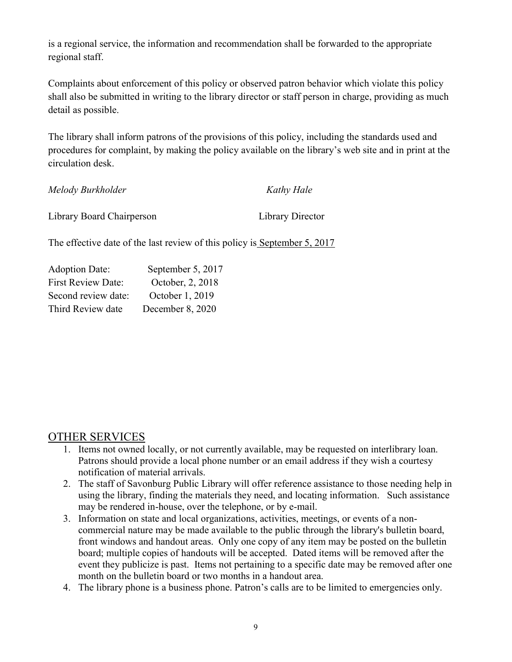is a regional service, the information and recommendation shall be forwarded to the appropriate regional staff.

Complaints about enforcement of this policy or observed patron behavior which violate this policy shall also be submitted in writing to the library director or staff person in charge, providing as much detail as possible.

The library shall inform patrons of the provisions of this policy, including the standards used and procedures for complaint, by making the policy available on the library's web site and in print at the circulation desk.

| Melody Burkholder         | Kathy Hale       |
|---------------------------|------------------|
| Library Board Chairperson | Library Director |

The effective date of the last review of this policy is September 5, 2017

| <b>Adoption Date:</b>     | September 5, 2017 |
|---------------------------|-------------------|
| <b>First Review Date:</b> | October, 2, 2018  |
| Second review date:       | October 1, 2019   |
| Third Review date         | December 8, 2020  |

## OTHER SERVICES

- 1. Items not owned locally, or not currently available, may be requested on interlibrary loan. Patrons should provide a local phone number or an email address if they wish a courtesy notification of material arrivals.
- 2. The staff of Savonburg Public Library will offer reference assistance to those needing help in using the library, finding the materials they need, and locating information. Such assistance may be rendered in-house, over the telephone, or by e-mail.
- 3. Information on state and local organizations, activities, meetings, or events of a noncommercial nature may be made available to the public through the library's bulletin board, front windows and handout areas. Only one copy of any item may be posted on the bulletin board; multiple copies of handouts will be accepted. Dated items will be removed after the event they publicize is past. Items not pertaining to a specific date may be removed after one month on the bulletin board or two months in a handout area.
- 4. The library phone is a business phone. Patron's calls are to be limited to emergencies only.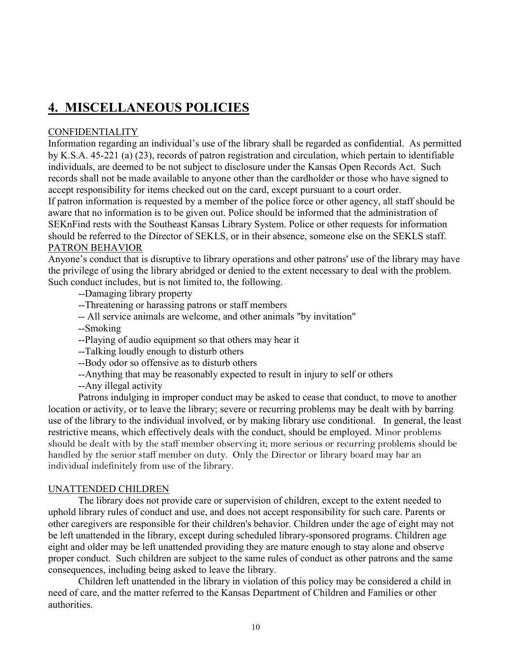## 4. MISCELLANEOUS POLICIES

## **CONFIDENTIALITY**

Information regarding an individual's use of the library shall be regarded as confidential. As permitted by K.S.A. 45-221 (a) (23), records of patron registration and circulation, which pertain to identifiable individuals, are deemed to be not subject to disclosure under the Kansas Open Records Act. Such records shall not be made available to anyone other than the cardholder or those who have signed to accept responsibility for items checked out on the card, except pursuant to a court order.

If patron information is requested by a member of the police force or other agency, all staff should be aware that no information is to be given out. Police should be informed that the administration of SEKnFind rests with the Southeast Kansas Library System. Police or other requests for information should be referred to the Director of SEKLS, or in their absence, someone else on the SEKLS staff. PATRON BEHAVIOR

Anyone's conduct that is disruptive to library operations and other patrons' use of the library may have the privilege of using the library abridged or denied to the extent necessary to deal with the problem. Such conduct includes, but is not limited to, the following.

--Damaging library property

--Threatening or harassing patrons or staff members

-- All service animals are welcome, and other animals "by invitation"

--Smoking

--Playing of audio equipment so that others may hear it

--Talking loudly enough to disturb others

--Body odor so offensive as to disturb others

--Anything that may be reasonably expected to result in injury to self or others

--Any illegal activity

Patrons indulging in improper conduct may be asked to cease that conduct, to move to another location or activity, or to leave the library; severe or recurring problems may be dealt with by barring use of the library to the individual involved, or by making library use conditional. In general, the least restrictive means, which effectively deals with the conduct, should be employed. Minor problems should be dealt with by the staff member observing it; more serious or recurring problems should be handled by the senior staff member on duty. Only the Director or library board may bar an individual indefinitely from use of the library.

## UNATTENDED CHILDREN

The library does not provide care or supervision of children, except to the extent needed to uphold library rules of conduct and use, and does not accept responsibility for such care. Parents or other caregivers are responsible for their children's behavior. Children under the age of eight may not be left unattended in the library, except during scheduled library-sponsored programs. Children age eight and older may be left unattended providing they are mature enough to stay alone and observe proper conduct. Such children are subject to the same rules of conduct as other patrons and the same consequences, including being asked to leave the library.

Children left unattended in the library in violation of this policy may be considered a child in need of care, and the matter referred to the Kansas Department of Children and Families or other authorities.